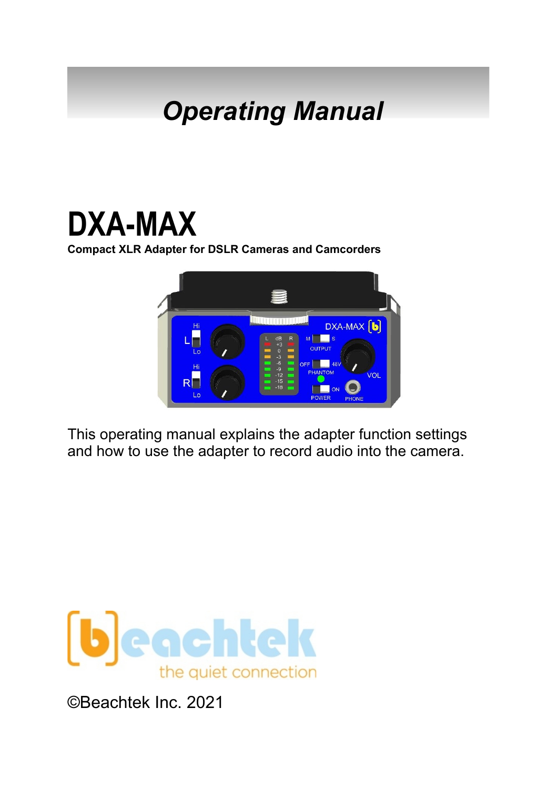# *Operating Manual*

# **DXA-MAX**

**Compact XLR Adapter for DSLR Cameras and Camcorders**



This operating manual explains the adapter function settings and how to use the adapter to record audio into the camera.



©Beachtek Inc. 2021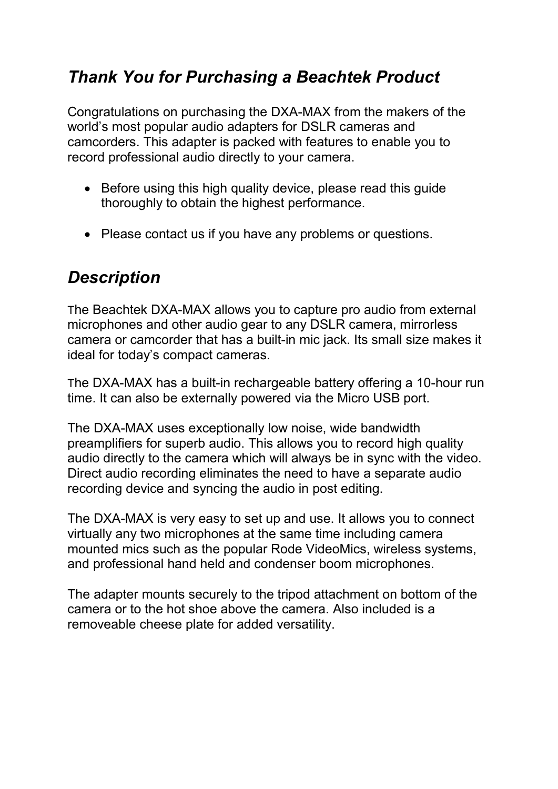### *Thank You for Purchasing a Beachtek Product*

Congratulations on purchasing the DXA-MAX from the makers of the world's most popular audio adapters for DSLR cameras and camcorders. This adapter is packed with features to enable you to record professional audio directly to your camera.

- Before using this high quality device, please read this guide thoroughly to obtain the highest performance.
- Please contact us if you have any problems or questions.

### *Description*

The Beachtek DXA-MAX allows you to capture pro audio from external microphones and other audio gear to any DSLR camera, mirrorless camera or camcorder that has a built-in mic jack. Its small size makes it ideal for today's compact cameras.

The DXA-MAX has a built-in rechargeable battery offering a 10-hour run time. It can also be externally powered via the Micro USB port.

The DXA-MAX uses exceptionally low noise, wide bandwidth preamplifiers for superb audio. This allows you to record high quality audio directly to the camera which will always be in sync with the video. Direct audio recording eliminates the need to have a separate audio recording device and syncing the audio in post editing.

The DXA-MAX is very easy to set up and use. It allows you to connect virtually any two microphones at the same time including camera mounted mics such as the popular Rode VideoMics, wireless systems, and professional hand held and condenser boom microphones.

The adapter mounts securely to the tripod attachment on bottom of the camera or to the hot shoe above the camera. Also included is a removeable cheese plate for added versatility.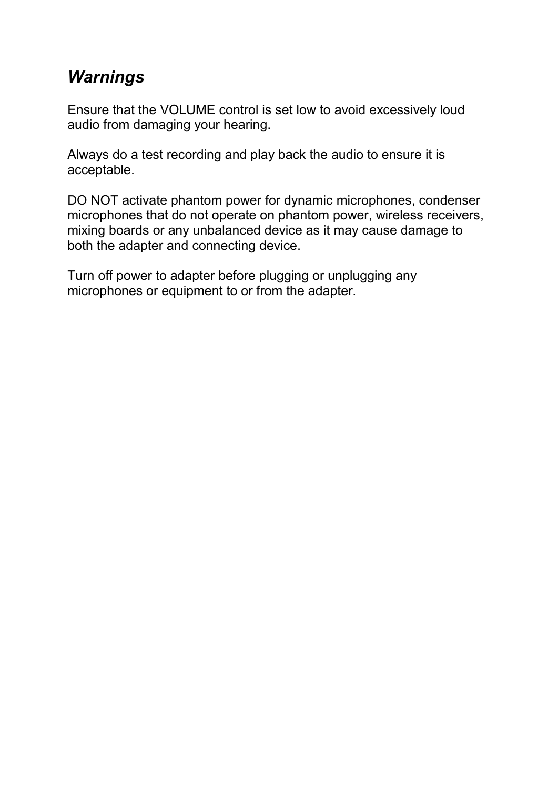### *Warnings*

Ensure that the VOLUME control is set low to avoid excessively loud audio from damaging your hearing.

Always do a test recording and play back the audio to ensure it is acceptable.

DO NOT activate phantom power for dynamic microphones, condenser microphones that do not operate on phantom power, wireless receivers, mixing boards or any unbalanced device as it may cause damage to both the adapter and connecting device.

Turn off power to adapter before plugging or unplugging any microphones or equipment to or from the adapter.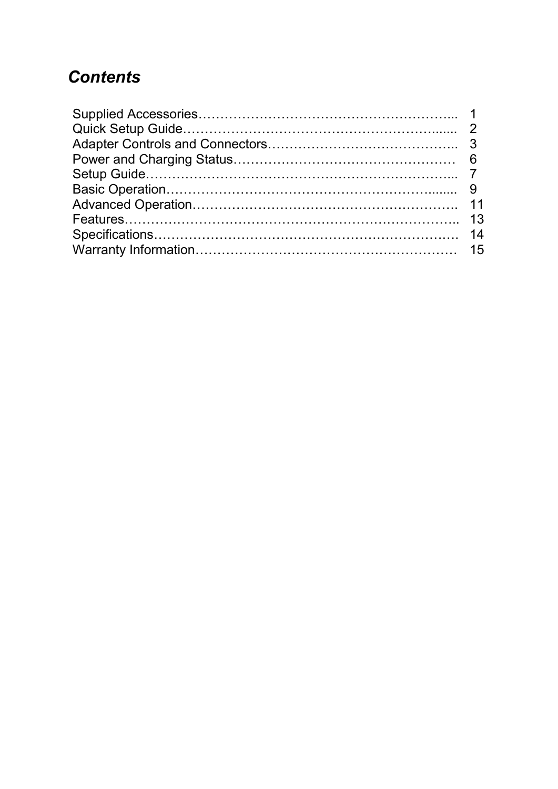### *Contents*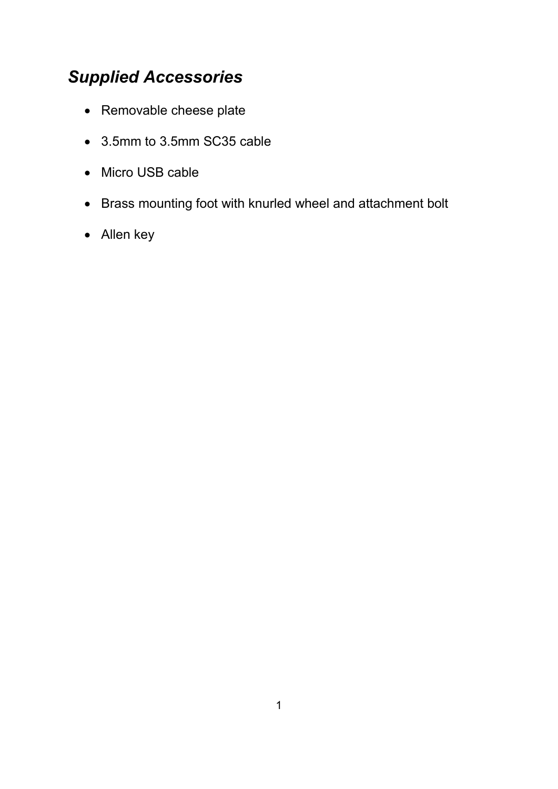### *Supplied Accessories*

- Removable cheese plate
- 3.5mm to 3.5mm SC35 cable
- Micro USB cable
- Brass mounting foot with knurled wheel and attachment bolt
- Allen key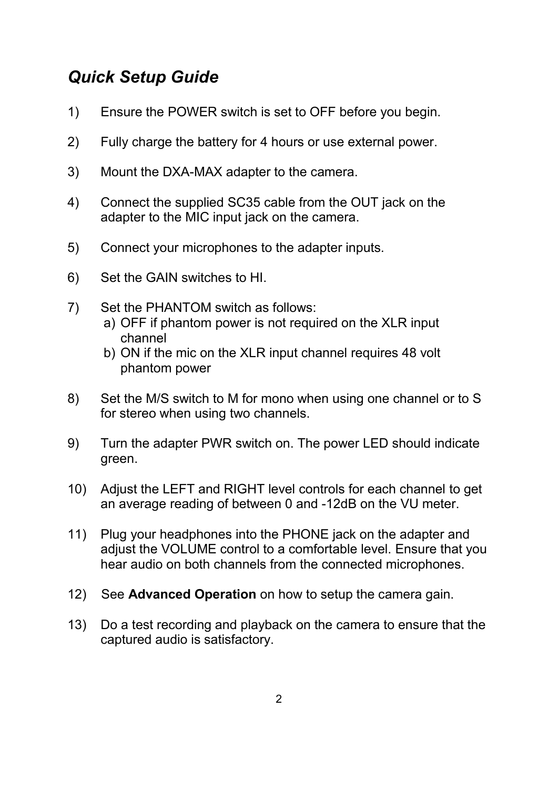### *Quick Setup Guide*

- 1) Ensure the POWER switch is set to OFF before you begin.
- 2) Fully charge the battery for 4 hours or use external power.
- 3) Mount the DXA-MAX adapter to the camera.
- 4) Connect the supplied SC35 cable from the OUT jack on the adapter to the MIC input jack on the camera.
- 5) Connect your microphones to the adapter inputs.
- 6) Set the GAIN switches to HI.
- 7) Set the PHANTOM switch as follows: a) OFF if phantom power is not required on the XLR input channel
	- b) ON if the mic on the XLR input channel requires 48 volt phantom power
- 8) Set the M/S switch to M for mono when using one channel or to S for stereo when using two channels.
- 9) Turn the adapter PWR switch on. The power LED should indicate green.
- 10) Adjust the LEFT and RIGHT level controls for each channel to get an average reading of between 0 and -12dB on the VU meter.
- 11) Plug your headphones into the PHONE jack on the adapter and adjust the VOLUME control to a comfortable level. Ensure that you hear audio on both channels from the connected microphones.
- 12) See **Advanced Operation** on how to setup the camera gain.
- 13) Do a test recording and playback on the camera to ensure that the captured audio is satisfactory.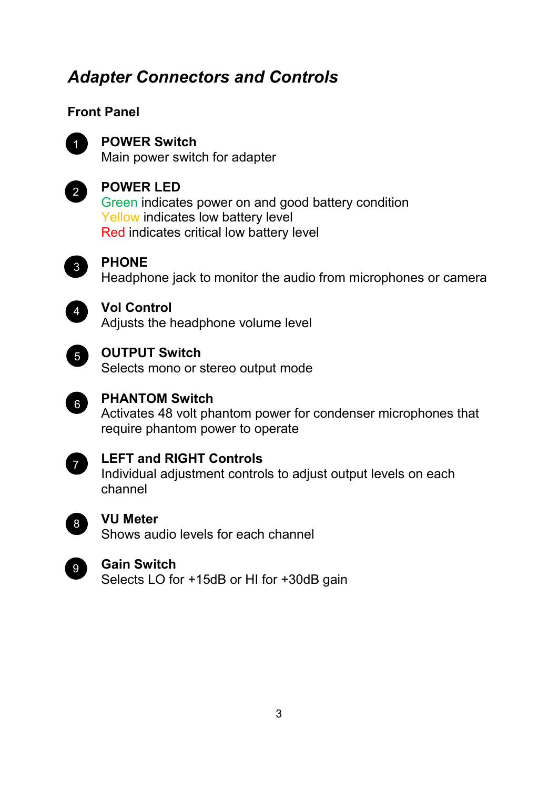### *Adapter Connectors and Controls*

#### **Front Panel**



### **POWER Switch** 1

Main power switch for adapter



#### **POWER LED**

Green indicates power on and good battery condition 1 Yellow indicates low battery level Red indicates critical low battery level



#### **PHONE**

Headphone jack to monitor the audio from microphones or camera



#### **Vol Control**

Adjusts the headphone volume level



#### **OUTPUT Switch**

Selects mono or stereo output mode



#### **PHANTOM Switch**

Activates 48 volt phantom power for condenser microphones that require phantom power to operate



#### **LEFT and RIGHT Controls**

Individual adjustment controls to adjust output levels on each channel



#### **VU Meter**

Shows audio levels for each channel



#### **Gain Switch**

Selects LO for +15dB or HI for +30dB gain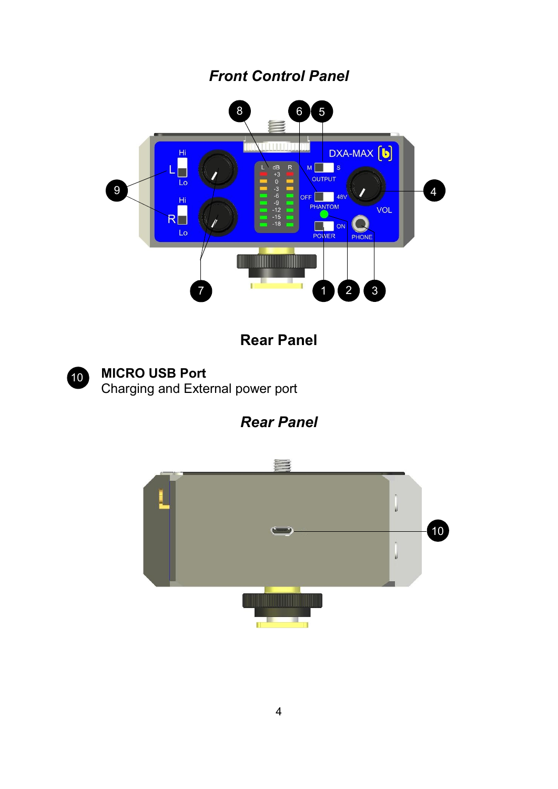### *Front Control Panel*



### **Rear Panel**



### **MICRO USB Port**

Charging and External power port

### *Rear Panel*

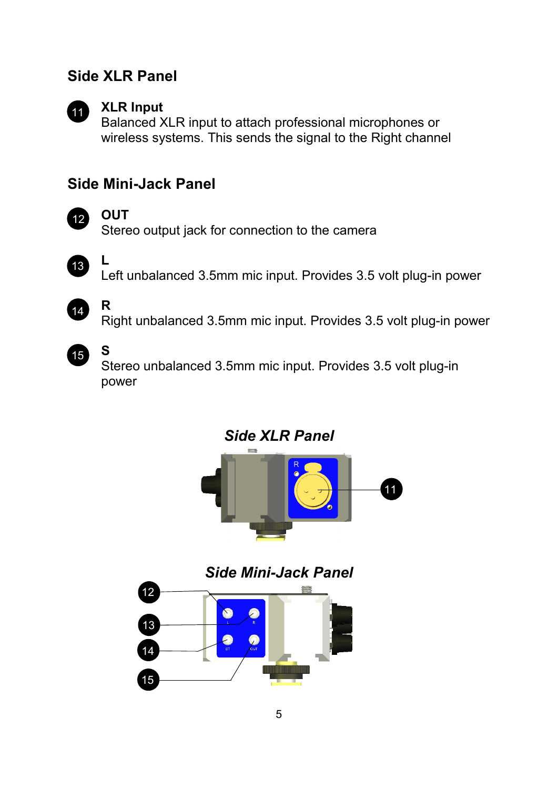#### **Side XLR Panel**



#### **XLR Input**

Balanced XLR input to attach professional microphones or wireless systems. This sends the signal to the Right channel

#### **Side Mini-Jack Panel**



#### **OUT**

**L**

**R**

Stereo output jack for connection to the camera



Left unbalanced 3.5mm mic input. Provides 3.5 volt plug-in power



Right unbalanced 3.5mm mic input. Provides 3.5 volt plug-in power



#### **S**

Stereo unbalanced 3.5mm mic input. Provides 3.5 volt plug-in power

*Side XLR Panel*



*Side Mini-Jack Panel*

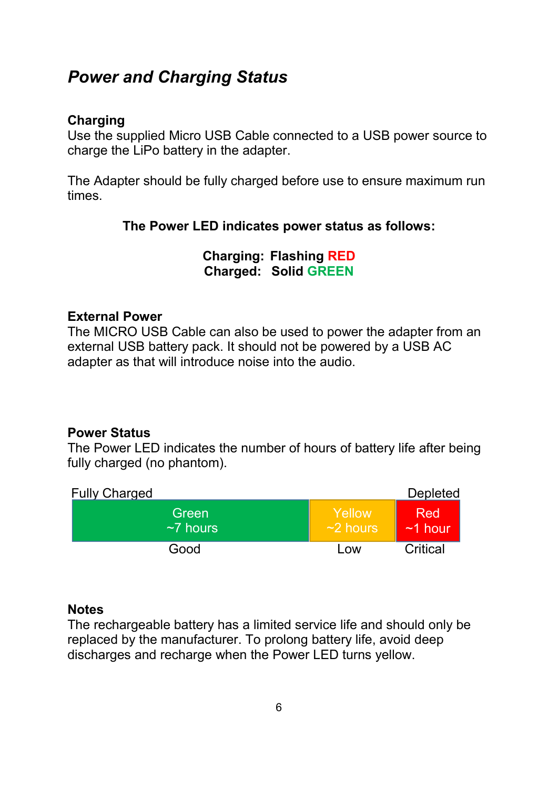### *Power and Charging Status*

#### **Charging**

Use the supplied Micro USB Cable connected to a USB power source to charge the LiPo battery in the adapter.

The Adapter should be fully charged before use to ensure maximum run times.

#### **The Power LED indicates power status as follows:**

**Charging: Flashing RED Charged: Solid GREEN**

#### **External Power**

The MICRO USB Cable can also be used to power the adapter from an external USB battery pack. It should not be powered by a USB AC adapter as that will introduce noise into the audio.

#### **Power Status**

The Power LED indicates the number of hours of battery life after being fully charged (no phantom).

| <b>Fully Charged</b>     |                          | <b>Depleted</b>         |
|--------------------------|--------------------------|-------------------------|
| Green<br>$~\sim$ 7 hours | Yellow<br>$\sim$ 2 hours | <b>Red</b><br>$~1$ hour |
| Good                     | Low                      | Critical                |

#### **Notes**

The rechargeable battery has a limited service life and should only be replaced by the manufacturer. To prolong battery life, avoid deep discharges and recharge when the Power LED turns yellow.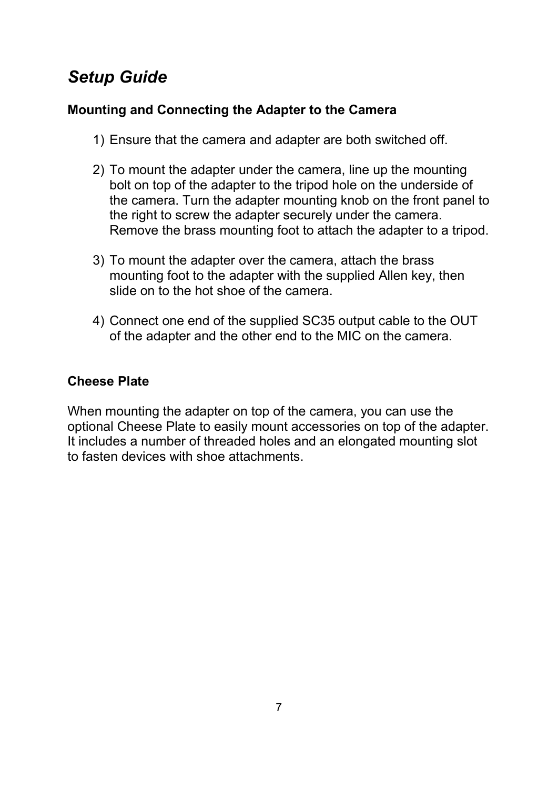### *Setup Guide*

#### **Mounting and Connecting the Adapter to the Camera**

- 1) Ensure that the camera and adapter are both switched off.
- 2) To mount the adapter under the camera, line up the mounting bolt on top of the adapter to the tripod hole on the underside of the camera. Turn the adapter mounting knob on the front panel to the right to screw the adapter securely under the camera. Remove the brass mounting foot to attach the adapter to a tripod.
- 3) To mount the adapter over the camera, attach the brass mounting foot to the adapter with the supplied Allen key, then slide on to the hot shoe of the camera.
- 4) Connect one end of the supplied SC35 output cable to the OUT of the adapter and the other end to the MIC on the camera.

#### **Cheese Plate**

When mounting the adapter on top of the camera, you can use the optional Cheese Plate to easily mount accessories on top of the adapter. It includes a number of threaded holes and an elongated mounting slot to fasten devices with shoe attachments.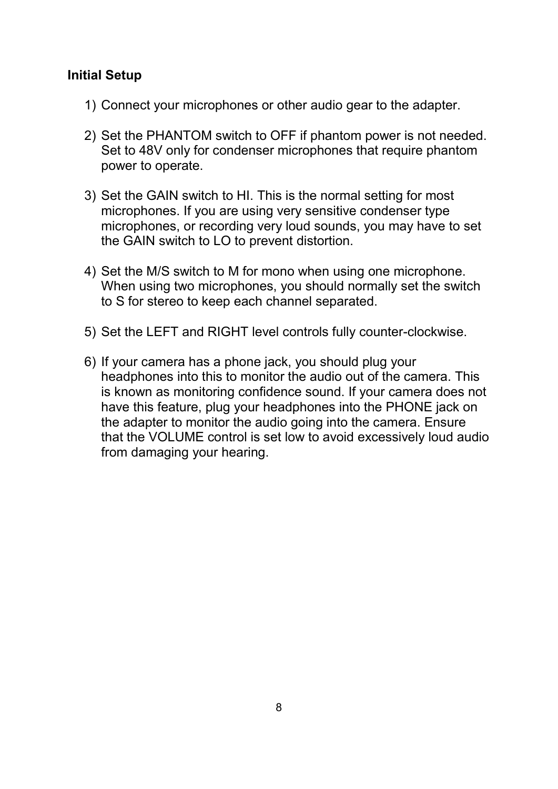#### **Initial Setup**

- 1) Connect your microphones or other audio gear to the adapter.
- 2) Set the PHANTOM switch to OFF if phantom power is not needed. Set to 48V only for condenser microphones that require phantom power to operate.
- 3) Set the GAIN switch to HI. This is the normal setting for most microphones. If you are using very sensitive condenser type microphones, or recording very loud sounds, you may have to set the GAIN switch to LO to prevent distortion.
- 4) Set the M/S switch to M for mono when using one microphone. When using two microphones, you should normally set the switch to S for stereo to keep each channel separated.
- 5) Set the LEFT and RIGHT level controls fully counter-clockwise.
- 6) If your camera has a phone jack, you should plug your headphones into this to monitor the audio out of the camera. This is known as monitoring confidence sound. If your camera does not have this feature, plug your headphones into the PHONE jack on the adapter to monitor the audio going into the camera. Ensure that the VOLUME control is set low to avoid excessively loud audio from damaging your hearing.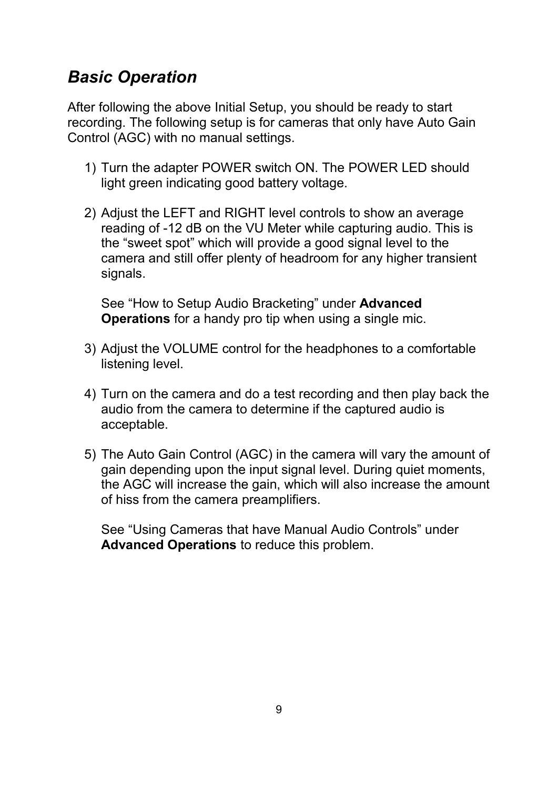### *Basic Operation*

After following the above Initial Setup, you should be ready to start recording. The following setup is for cameras that only have Auto Gain Control (AGC) with no manual settings.

- 1) Turn the adapter POWER switch ON. The POWER LED should light green indicating good battery voltage.
- 2) Adjust the LEFT and RIGHT level controls to show an average reading of -12 dB on the VU Meter while capturing audio. This is the "sweet spot" which will provide a good signal level to the camera and still offer plenty of headroom for any higher transient signals.

See "How to Setup Audio Bracketing" under **Advanced Operations** for a handy pro tip when using a single mic.

- 3) Adjust the VOLUME control for the headphones to a comfortable listening level.
- 4) Turn on the camera and do a test recording and then play back the audio from the camera to determine if the captured audio is acceptable.
- 5) The Auto Gain Control (AGC) in the camera will vary the amount of gain depending upon the input signal level. During quiet moments, the AGC will increase the gain, which will also increase the amount of hiss from the camera preamplifiers.

See "Using Cameras that have Manual Audio Controls" under **Advanced Operations** to reduce this problem.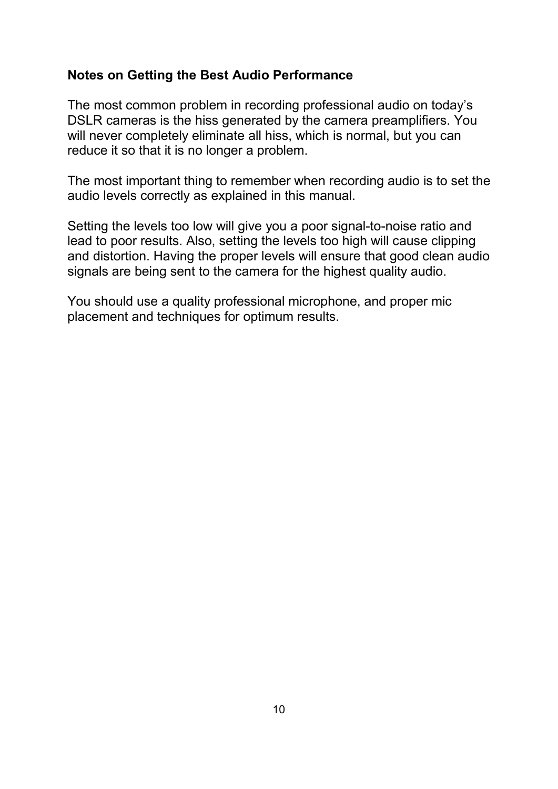#### **Notes on Getting the Best Audio Performance**

The most common problem in recording professional audio on today's DSLR cameras is the hiss generated by the camera preamplifiers. You will never completely eliminate all hiss, which is normal, but you can reduce it so that it is no longer a problem.

The most important thing to remember when recording audio is to set the audio levels correctly as explained in this manual.

Setting the levels too low will give you a poor signal-to-noise ratio and lead to poor results. Also, setting the levels too high will cause clipping and distortion. Having the proper levels will ensure that good clean audio signals are being sent to the camera for the highest quality audio.

You should use a quality professional microphone, and proper mic placement and techniques for optimum results.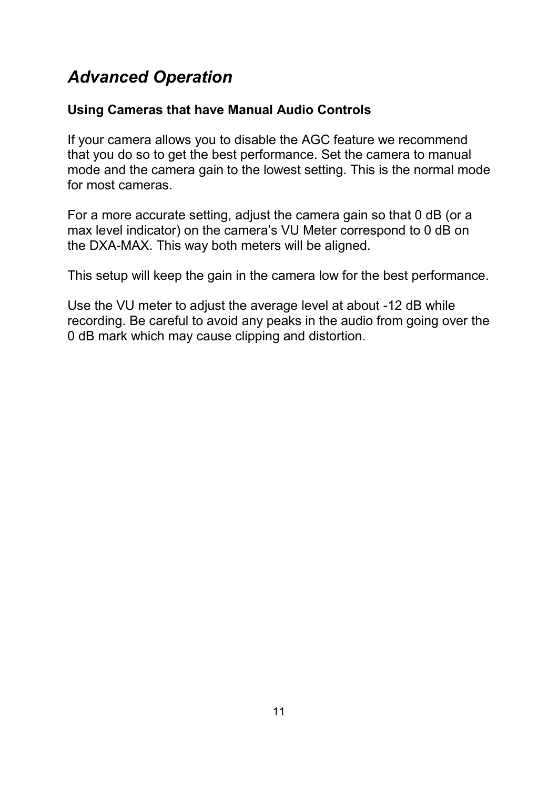### *Advanced Operation*

#### **Using Cameras that have Manual Audio Controls**

If your camera allows you to disable the AGC feature we recommend that you do so to get the best performance. Set the camera to manual mode and the camera gain to the lowest setting. This is the normal mode for most cameras.

For a more accurate setting, adjust the camera gain so that 0 dB (or a max level indicator) on the camera's VU Meter correspond to 0 dB on the DXA-MAX. This way both meters will be aligned.

This setup will keep the gain in the camera low for the best performance.

Use the VU meter to adjust the average level at about -12 dB while recording. Be careful to avoid any peaks in the audio from going over the 0 dB mark which may cause clipping and distortion.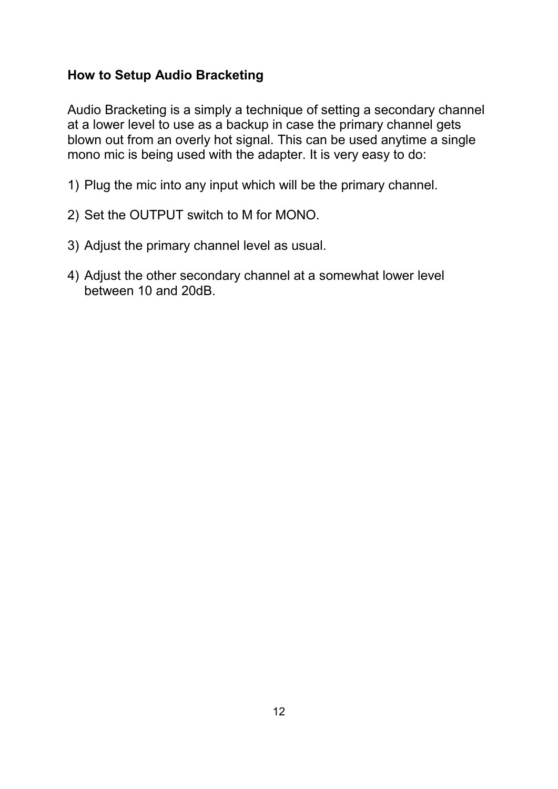#### **How to Setup Audio Bracketing**

Audio Bracketing is a simply a technique of setting a secondary channel at a lower level to use as a backup in case the primary channel gets blown out from an overly hot signal. This can be used anytime a single mono mic is being used with the adapter. It is very easy to do:

- 1) Plug the mic into any input which will be the primary channel.
- 2) Set the OUTPUT switch to M for MONO.
- 3) Adjust the primary channel level as usual.
- 4) Adjust the other secondary channel at a somewhat lower level between 10 and 20dB.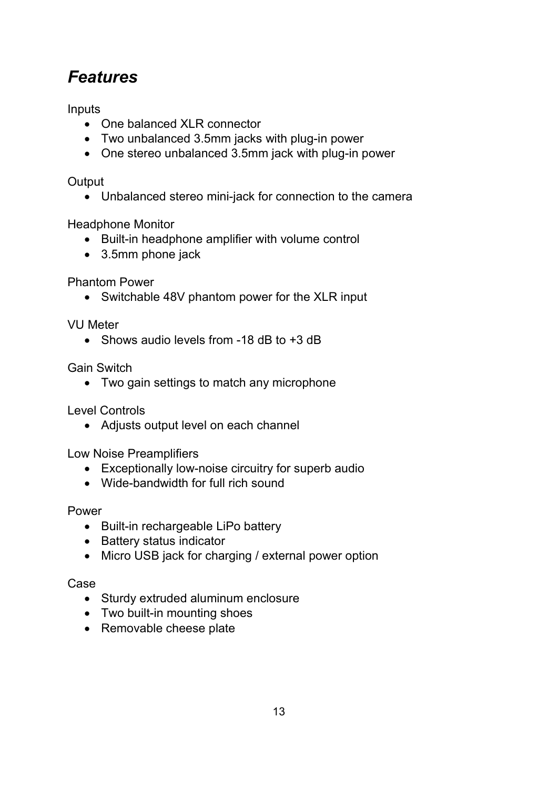### *Features*

Inputs

- One balanced XLR connector
- Two unbalanced 3.5mm jacks with plug-in power
- One stereo unbalanced 3.5mm jack with plug-in power

#### **Output**

Unbalanced stereo mini-jack for connection to the camera

Headphone Monitor

- Built-in headphone amplifier with volume control
- 3.5mm phone jack

Phantom Power

• Switchable 48V phantom power for the XLR input

VU Meter

• Shows audio levels from -18 dB to +3 dB

Gain Switch

Two gain settings to match any microphone

Level Controls

• Adjusts output level on each channel

Low Noise Preamplifiers

- Exceptionally low-noise circuitry for superb audio
- Wide-bandwidth for full rich sound

#### Power

- Built-in rechargeable LiPo battery
- Battery status indicator
- Micro USB jack for charging / external power option

#### Case

- Sturdy extruded aluminum enclosure
- Two built-in mounting shoes
- Removable cheese plate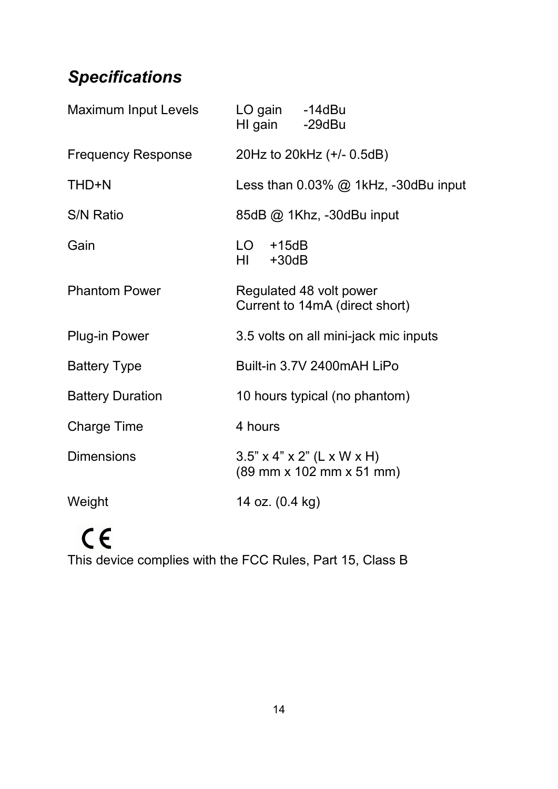### *Specifications*

| Maximum Input Levels      | LO gain -14dBu<br>HI gain -29dBu                                                                             |
|---------------------------|--------------------------------------------------------------------------------------------------------------|
| <b>Frequency Response</b> | 20Hz to 20kHz (+/- 0.5dB)                                                                                    |
| THD+N                     | Less than $0.03\%$ @ 1kHz, -30dBu input                                                                      |
| <b>S/N Ratio</b>          | 85dB @ 1Khz, -30dBu input                                                                                    |
| Gain                      | LO<br>$+15dB$<br>HI -<br>$+30dB$                                                                             |
| <b>Phantom Power</b>      | Regulated 48 volt power<br>Current to 14mA (direct short)                                                    |
| <b>Plug-in Power</b>      | 3.5 volts on all mini-jack mic inputs                                                                        |
| <b>Battery Type</b>       | Built-in 3.7V 2400mAH LiPo                                                                                   |
| <b>Battery Duration</b>   | 10 hours typical (no phantom)                                                                                |
| Charge Time               | 4 hours                                                                                                      |
| <b>Dimensions</b>         | $3.5" \times 4" \times 2"$ (L x W x H)<br>$(89 \, \text{mm} \times 102 \, \text{mm} \times 51 \, \text{mm})$ |
| Weight                    | 14 oz. (0.4 kg)                                                                                              |

## $C \in$

This device complies with the FCC Rules, Part 15, Class B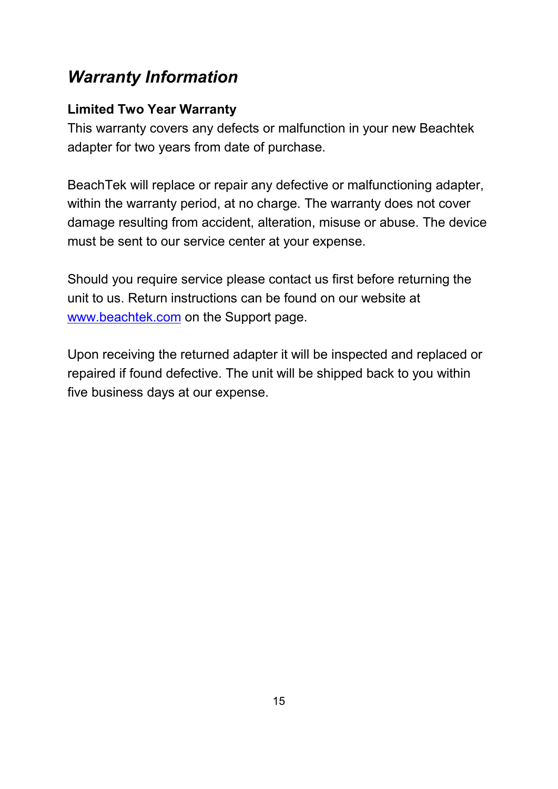### *Warranty Information*

#### **Limited Two Year Warranty**

This warranty covers any defects or malfunction in your new Beachtek adapter for two years from date of purchase.

BeachTek will replace or repair any defective or malfunctioning adapter, within the warranty period, at no charge. The warranty does not cover damage resulting from accident, alteration, misuse or abuse. The device must be sent to our service center at your expense.

Should you require service please contact us first before returning the unit to us. Return instructions can be found on our website at www.beachtek.com on the Support page.

Upon receiving the returned adapter it will be inspected and replaced or repaired if found defective. The unit will be shipped back to you within five business days at our expense.